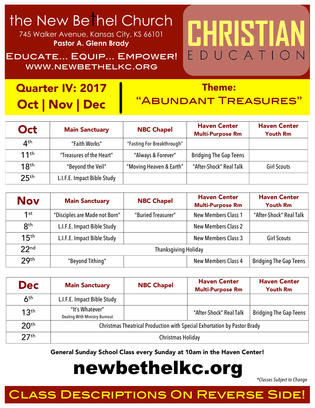### the New Bethel Church

745 Walker Avenue, Kansas City, KS 66101 **Pastor A. Glenn Brady**

Educate… Equip… Empower! www.newbethelkc.org

### Quarter IV: 2017 Oct | Nov | Dec

#### Theme:

CHRISTIA

EDUCATIO

### "Abundant Treasures"

| Oct                            | <b>Main Sanctuary</b>       | <b>NBC Chapel</b>          | <b>Haven Center</b><br><b>Multi-Purpose Rm</b> | <b>Haven Center</b><br><b>Youth Rm</b> |
|--------------------------------|-----------------------------|----------------------------|------------------------------------------------|----------------------------------------|
| $\mathbf{\Lambda}^{\text{th}}$ | "Faith Works"               | "Fasting For Breakthrough" |                                                |                                        |
| 11 <sup>th</sup>               | "Treasures of the Heart"    | "Always & Forever"         | <b>Bridging The Gap Teens</b>                  |                                        |
| 18 <sup>th</sup>               | "Beyond the Veil"           | "Moving Heaven & Earth"    | "After-Shock" Real Talk                        | <b>Girl Scouts</b>                     |
| 25 <sup>th</sup>               | L.I.F.E. Impact Bible Study |                            |                                                |                                        |

| <b>Nov</b>       | <b>Main Sanctuary</b>         | <b>NBC Chapel</b>  | <b>Haven Center</b><br><b>Multi-Purpose Rm</b> | <b>Haven Center</b><br><b>Youth Rm</b> |
|------------------|-------------------------------|--------------------|------------------------------------------------|----------------------------------------|
| $1$ st           | "Disciples are Made not Born" | "Buried Treasurer" | <b>New Members Class 1</b>                     | "After-Shock" Real Talk                |
| <b>Rth</b>       | L.I.F.E. Impact Bible Study   |                    | <b>New Members Class 2</b>                     |                                        |
| 15 <sup>th</sup> | L.I.F.E. Impact Bible Study   |                    | <b>New Members Class 3</b>                     | <b>Girl Scouts</b>                     |
| 22 <sub>nd</sub> | <b>Thanksgiving Holiday</b>   |                    |                                                |                                        |
| 29 <sup>th</sup> | "Beyond Tithing"              |                    | <b>New Members Class 4</b>                     | <b>Bridging The Gap Teens</b>          |

| <b>Dec</b>                 | <b>Main Sanctuary</b>                                                    | <b>NBC Chapel</b> | <b>Haven Center</b><br><b>Multi-Purpose Rm</b> | <b>Haven Center</b><br><b>Youth Rm</b> |
|----------------------------|--------------------------------------------------------------------------|-------------------|------------------------------------------------|----------------------------------------|
| $\mathsf{A}^{\mathsf{th}}$ | L.I.F.E. Impact Bible Study                                              |                   |                                                |                                        |
| 13 <sup>th</sup>           | "It's Whatever"<br><b>Dealing With Ministry Burnout</b>                  |                   | "After-Shock" Real Talk                        | <b>Bridging The Gap Teens</b>          |
| 20 <sup>th</sup>           | Christmas Theatrical Production with Special Exhortation by Pastor Brady |                   |                                                |                                        |
| 27 <sup>th</sup>           | Christmas Holiday                                                        |                   |                                                |                                        |

General Sunday School Class every Sunday at 10am in the Haven Center!

## newbethelkc.org

*\*Classes Subject to Change*

### ASS DESCRIPTIONS ON REVERSE SIDE!